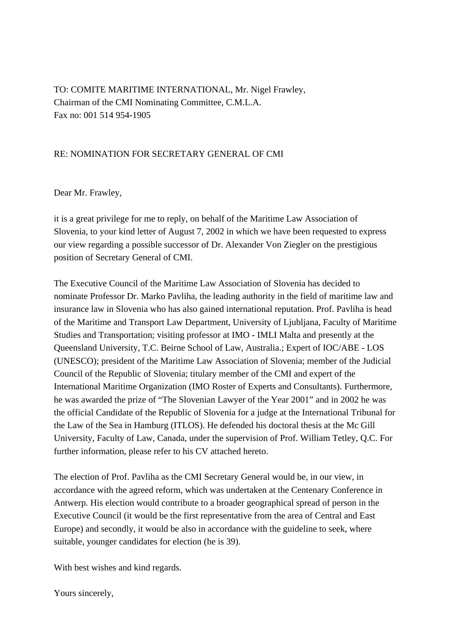TO: COMITE MARITIME INTERNATIONAL, Mr. Nigel Frawley, Chairman of the CMI Nominating Committee, C.M.L.A. Fax no: 001 514 954-1905

## RE: NOMINATION FOR SECRETARY GENERAL OF CMI

Dear Mr. Frawley,

it is a great privilege for me to reply, on behalf of the Maritime Law Association of Slovenia, to your kind letter of August 7, 2002 in which we have been requested to express our view regarding a possible successor of Dr. Alexander Von Ziegler on the prestigious position of Secretary General of CMI.

The Executive Council of the Maritime Law Association of Slovenia has decided to nominate Professor Dr. Marko Pavliha, the leading authority in the field of maritime law and insurance law in Slovenia who has also gained international reputation. Prof. Pavliha is head of the Maritime and Transport Law Department, University of Ljubljana, Faculty of Maritime Studies and Transportation; visiting professor at IMO - IMLI Malta and presently at the Queensland University, T.C. Beirne School of Law, Australia.; Expert of IOC/ABE - LOS (UNESCO); president of the Maritime Law Association of Slovenia; member of the Judicial Council of the Republic of Slovenia; titulary member of the CMI and expert of the International Maritime Organization (IMO Roster of Experts and Consultants). Furthermore, he was awarded the prize of "The Slovenian Lawyer of the Year 2001" and in 2002 he was the official Candidate of the Republic of Slovenia for a judge at the International Tribunal for the Law of the Sea in Hamburg (ITLOS). He defended his doctoral thesis at the Mc Gill University, Faculty of Law, Canada, under the supervision of Prof. William Tetley, Q.C. For further information, please refer to his CV attached hereto.

The election of Prof. Pavliha as the CMI Secretary General would be, in our view, in accordance with the agreed reform, which was undertaken at the Centenary Conference in Antwerp. His election would contribute to a broader geographical spread of person in the Executive Council (it would be the first representative from the area of Central and East Europe) and secondly, it would be also in accordance with the guideline to seek, where suitable, younger candidates for election (he is 39).

With best wishes and kind regards.

Yours sincerely,